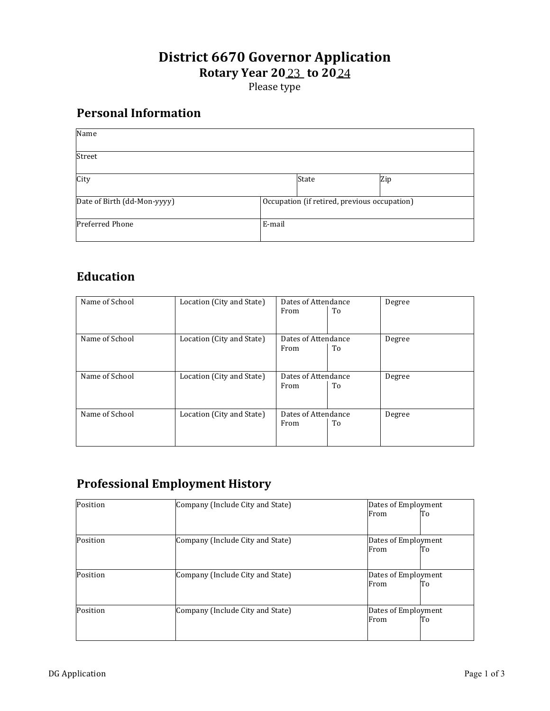#### **District 6670 Governor Application Rotary Year 2023 to 2024** <u>23</u> to 20<u>24</u>

Please type

### **Personal'Information**

| Name                        |                                              |       |     |
|-----------------------------|----------------------------------------------|-------|-----|
| Street                      |                                              |       |     |
| City                        |                                              | State | Zip |
| Date of Birth (dd-Mon-yyyy) | Occupation (if retired, previous occupation) |       |     |
| <b>Preferred Phone</b>      | E-mail                                       |       |     |

# **Education**

| Name of School | Location (City and State) | Dates of Attendance |    | Degree |
|----------------|---------------------------|---------------------|----|--------|
|                |                           | From                | To |        |
|                |                           |                     |    |        |
| Name of School | Location (City and State) | Dates of Attendance |    | Degree |
|                |                           | From                | To |        |
|                |                           |                     |    |        |
|                |                           |                     |    |        |
| Name of School | Location (City and State) | Dates of Attendance |    | Degree |
|                |                           | From                | To |        |
|                |                           |                     |    |        |
|                |                           |                     |    |        |
| Name of School | Location (City and State) | Dates of Attendance |    | Degree |
|                |                           | From                | To |        |
|                |                           |                     |    |        |
|                |                           |                     |    |        |

## **Professional'Employment History**

| Position | Company (Include City and State) | Dates of Employment |
|----------|----------------------------------|---------------------|
|          |                                  | From<br>To          |
|          |                                  |                     |
| Position | Company (Include City and State) | Dates of Employment |
|          |                                  | From<br>To          |
| Position | Company (Include City and State) | Dates of Employment |
|          |                                  | From<br>To          |
| Position | Company (Include City and State) | Dates of Employment |
|          |                                  | From<br>To          |
|          |                                  |                     |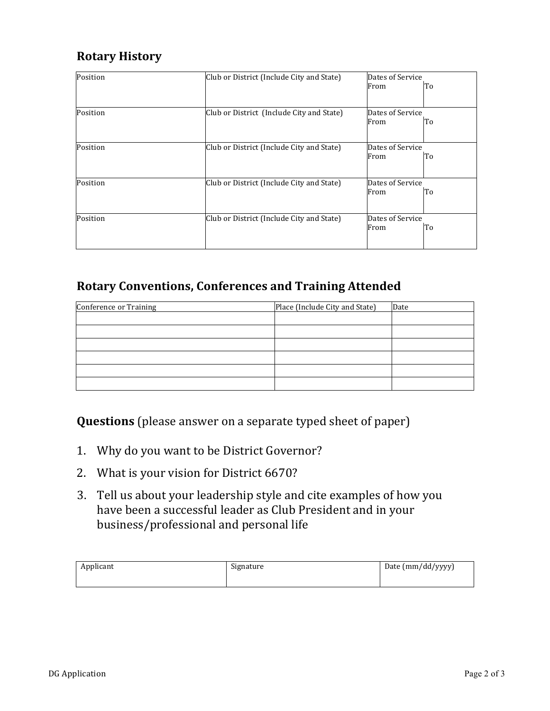## **Rotary'History**

| Position | Club or District (Include City and State) |                          | Dates of Service<br>To<br>From |  |
|----------|-------------------------------------------|--------------------------|--------------------------------|--|
|          |                                           |                          |                                |  |
| Position | Club or District (Include City and State) | Dates of Service<br>From | To                             |  |
| Position | Club or District (Include City and State) | Dates of Service<br>From | To                             |  |
| Position | Club or District (Include City and State) | Dates of Service<br>From | Tо                             |  |
| Position | Club or District (Include City and State) | Dates of Service<br>From | To                             |  |

#### Rotary Conventions, Conferences and Training Attended

| Conference or Training | Place (Include City and State) | Date |
|------------------------|--------------------------------|------|
|                        |                                |      |
|                        |                                |      |
|                        |                                |      |
|                        |                                |      |
|                        |                                |      |
|                        |                                |      |

**Questions** (please answer on a separate typed sheet of paper)

- 1. Why do you want to be District Governor?
- 2. What is your vision for District 6670?
- 3. Tell us about your leadership style and cite examples of how you have been a successful leader as Club President and in your business/professional and personal life

| Applicant | Signature | Date (mm/dd/yyyy) |
|-----------|-----------|-------------------|
|           |           |                   |